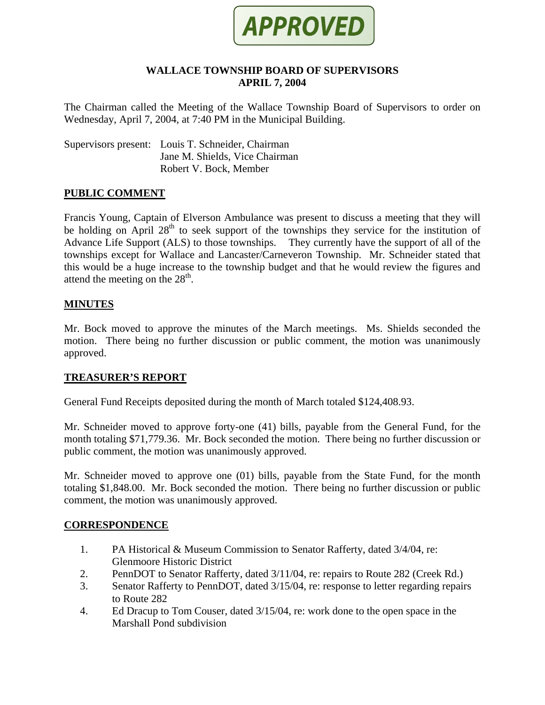

### **WALLACE TOWNSHIP BOARD OF SUPERVISORS APRIL 7, 2004**

The Chairman called the Meeting of the Wallace Township Board of Supervisors to order on Wednesday, April 7, 2004, at 7:40 PM in the Municipal Building.

Supervisors present: Louis T. Schneider, Chairman Jane M. Shields, Vice Chairman Robert V. Bock, Member

### **PUBLIC COMMENT**

Francis Young, Captain of Elverson Ambulance was present to discuss a meeting that they will be holding on April  $28<sup>th</sup>$  to seek support of the townships they service for the institution of Advance Life Support (ALS) to those townships. They currently have the support of all of the townships except for Wallace and Lancaster/Carneveron Township. Mr. Schneider stated that this would be a huge increase to the township budget and that he would review the figures and attend the meeting on the  $28<sup>th</sup>$ .

### **MINUTES**

Mr. Bock moved to approve the minutes of the March meetings. Ms. Shields seconded the motion. There being no further discussion or public comment, the motion was unanimously approved.

### **TREASURER'S REPORT**

General Fund Receipts deposited during the month of March totaled \$124,408.93.

Mr. Schneider moved to approve forty-one (41) bills, payable from the General Fund, for the month totaling \$71,779.36. Mr. Bock seconded the motion. There being no further discussion or public comment, the motion was unanimously approved.

Mr. Schneider moved to approve one (01) bills, payable from the State Fund, for the month totaling \$1,848.00. Mr. Bock seconded the motion. There being no further discussion or public comment, the motion was unanimously approved.

### **CORRESPONDENCE**

- 1. PA Historical & Museum Commission to Senator Rafferty, dated 3/4/04, re: Glenmoore Historic District
- 2. PennDOT to Senator Rafferty, dated 3/11/04, re: repairs to Route 282 (Creek Rd.)
- 3. Senator Rafferty to PennDOT, dated 3/15/04, re: response to letter regarding repairs to Route 282
- 4. Ed Dracup to Tom Couser, dated 3/15/04, re: work done to the open space in the Marshall Pond subdivision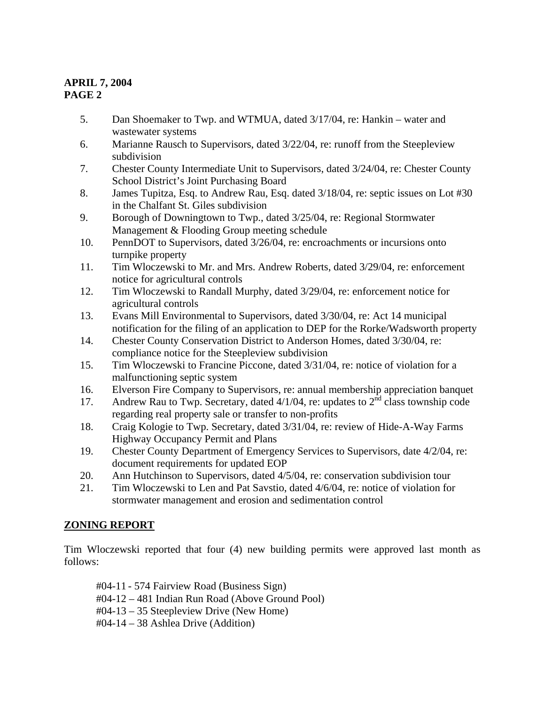- 5. Dan Shoemaker to Twp. and WTMUA, dated 3/17/04, re: Hankin water and wastewater systems
- 6. Marianne Rausch to Supervisors, dated 3/22/04, re: runoff from the Steepleview subdivision
- 7. Chester County Intermediate Unit to Supervisors, dated 3/24/04, re: Chester County School District's Joint Purchasing Board
- 8. James Tupitza, Esq. to Andrew Rau, Esq. dated 3/18/04, re: septic issues on Lot #30 in the Chalfant St. Giles subdivision
- 9. Borough of Downingtown to Twp., dated 3/25/04, re: Regional Stormwater Management & Flooding Group meeting schedule
- 10. PennDOT to Supervisors, dated 3/26/04, re: encroachments or incursions onto turnpike property
- 11. Tim Wloczewski to Mr. and Mrs. Andrew Roberts, dated 3/29/04, re: enforcement notice for agricultural controls
- 12. Tim Wloczewski to Randall Murphy, dated 3/29/04, re: enforcement notice for agricultural controls
- 13. Evans Mill Environmental to Supervisors, dated 3/30/04, re: Act 14 municipal notification for the filing of an application to DEP for the Rorke/Wadsworth property
- 14. Chester County Conservation District to Anderson Homes, dated 3/30/04, re: compliance notice for the Steepleview subdivision
- 15. Tim Wloczewski to Francine Piccone, dated 3/31/04, re: notice of violation for a malfunctioning septic system
- 16. Elverson Fire Company to Supervisors, re: annual membership appreciation banquet
- 17. Andrew Rau to Twp. Secretary, dated  $4/1/04$ , re: updates to  $2<sup>nd</sup>$  class township code regarding real property sale or transfer to non-profits
- 18. Craig Kologie to Twp. Secretary, dated 3/31/04, re: review of Hide-A-Way Farms Highway Occupancy Permit and Plans
- 19. Chester County Department of Emergency Services to Supervisors, date 4/2/04, re: document requirements for updated EOP
- 20. Ann Hutchinson to Supervisors, dated 4/5/04, re: conservation subdivision tour
- 21. Tim Wloczewski to Len and Pat Savstio, dated 4/6/04, re: notice of violation for stormwater management and erosion and sedimentation control

# **ZONING REPORT**

Tim Wloczewski reported that four (4) new building permits were approved last month as follows:

 #04-11 - 574 Fairview Road (Business Sign) #04-12 – 481 Indian Run Road (Above Ground Pool) #04-13 – 35 Steepleview Drive (New Home) #04-14 – 38 Ashlea Drive (Addition)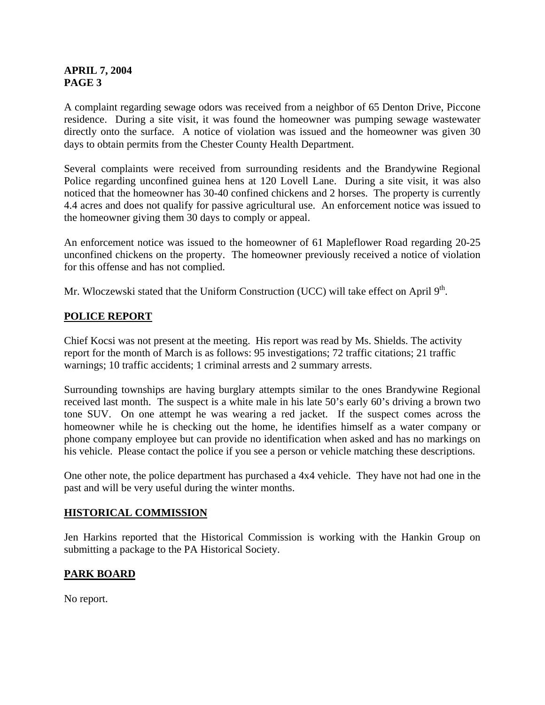A complaint regarding sewage odors was received from a neighbor of 65 Denton Drive, Piccone residence. During a site visit, it was found the homeowner was pumping sewage wastewater directly onto the surface. A notice of violation was issued and the homeowner was given 30 days to obtain permits from the Chester County Health Department.

Several complaints were received from surrounding residents and the Brandywine Regional Police regarding unconfined guinea hens at 120 Lovell Lane. During a site visit, it was also noticed that the homeowner has 30-40 confined chickens and 2 horses. The property is currently 4.4 acres and does not qualify for passive agricultural use. An enforcement notice was issued to the homeowner giving them 30 days to comply or appeal.

An enforcement notice was issued to the homeowner of 61 Mapleflower Road regarding 20-25 unconfined chickens on the property. The homeowner previously received a notice of violation for this offense and has not complied.

Mr. Wloczewski stated that the Uniform Construction (UCC) will take effect on April 9<sup>th</sup>.

## **POLICE REPORT**

Chief Kocsi was not present at the meeting. His report was read by Ms. Shields. The activity report for the month of March is as follows: 95 investigations; 72 traffic citations; 21 traffic warnings; 10 traffic accidents; 1 criminal arrests and 2 summary arrests.

Surrounding townships are having burglary attempts similar to the ones Brandywine Regional received last month. The suspect is a white male in his late 50's early 60's driving a brown two tone SUV. On one attempt he was wearing a red jacket. If the suspect comes across the homeowner while he is checking out the home, he identifies himself as a water company or phone company employee but can provide no identification when asked and has no markings on his vehicle. Please contact the police if you see a person or vehicle matching these descriptions.

One other note, the police department has purchased a 4x4 vehicle. They have not had one in the past and will be very useful during the winter months.

## **HISTORICAL COMMISSION**

Jen Harkins reported that the Historical Commission is working with the Hankin Group on submitting a package to the PA Historical Society.

## **PARK BOARD**

No report.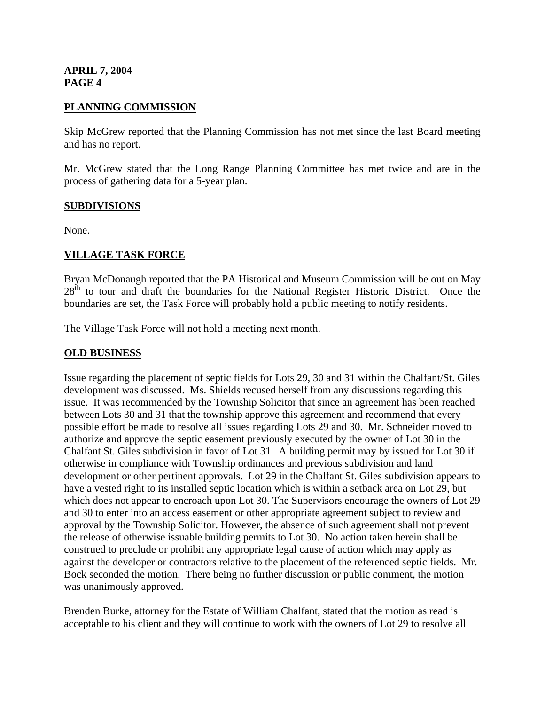### **PLANNING COMMISSION**

Skip McGrew reported that the Planning Commission has not met since the last Board meeting and has no report.

Mr. McGrew stated that the Long Range Planning Committee has met twice and are in the process of gathering data for a 5-year plan.

### **SUBDIVISIONS**

None.

### **VILLAGE TASK FORCE**

Bryan McDonaugh reported that the PA Historical and Museum Commission will be out on May 28<sup>th</sup> to tour and draft the boundaries for the National Register Historic District. Once the boundaries are set, the Task Force will probably hold a public meeting to notify residents.

The Village Task Force will not hold a meeting next month.

### **OLD BUSINESS**

Issue regarding the placement of septic fields for Lots 29, 30 and 31 within the Chalfant/St. Giles development was discussed. Ms. Shields recused herself from any discussions regarding this issue. It was recommended by the Township Solicitor that since an agreement has been reached between Lots 30 and 31 that the township approve this agreement and recommend that every possible effort be made to resolve all issues regarding Lots 29 and 30. Mr. Schneider moved to authorize and approve the septic easement previously executed by the owner of Lot 30 in the Chalfant St. Giles subdivision in favor of Lot 31. A building permit may by issued for Lot 30 if otherwise in compliance with Township ordinances and previous subdivision and land development or other pertinent approvals. Lot 29 in the Chalfant St. Giles subdivision appears to have a vested right to its installed septic location which is within a setback area on Lot 29, but which does not appear to encroach upon Lot 30. The Supervisors encourage the owners of Lot 29 and 30 to enter into an access easement or other appropriate agreement subject to review and approval by the Township Solicitor. However, the absence of such agreement shall not prevent the release of otherwise issuable building permits to Lot 30. No action taken herein shall be construed to preclude or prohibit any appropriate legal cause of action which may apply as against the developer or contractors relative to the placement of the referenced septic fields. Mr. Bock seconded the motion. There being no further discussion or public comment, the motion was unanimously approved.

Brenden Burke, attorney for the Estate of William Chalfant, stated that the motion as read is acceptable to his client and they will continue to work with the owners of Lot 29 to resolve all